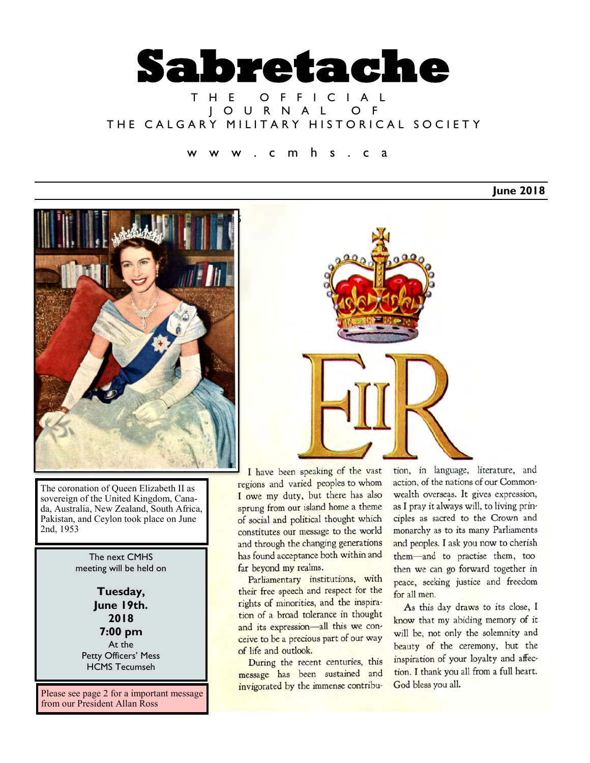

## T H E O F F I C I A L J O U R N A L O F THE CALGARY MILITARY HISTORICAL SOCIETY

c m h s . c a

**June 2018**



The coronation of Queen Elizabeth II as sovereign of the United Kingdom, Canada, Australia, New Zealand, South Africa, Pakistan, and Ceylon took place on June 2nd, 1953

> The next CMHS meeting will be held on

**Tuesday, June 19th. 2018 7:00 pm** At the Petty Officers' Mess HCMS Tecumseh

Please see page 2 for a important message from our President Allan Ross



I have been speaking of the vast regions and varied peoples to whom I owe my duty, but there has also sprung from our island home a theme of social and political thought which constitutes our message to the world and through the changing generations has found acceptance both within and far beyond my realms.

Parliamentary institutions, with their free speech and respect for the rights of minorities, and the inspiration of a broad tolerance in thought and its expression-all this we conceive to be a precious part of our way of life and outlook.

During the recent centuries, this message has been sustained and invigorated by the immense contribu-

tion, in language, literature, and action, of the nations of our Commonwealth overseas. It gives expression, as I pray it always will, to living principles as sacred to the Crown and monarchy as to its many Parliaments and peoples. I ask you now to cherish them-and to practise them, too then we can go forward together in peace, seeking justice and freedom for all men.

As this day draws to its close, I know that my abiding memory of it will be, not only the solemnity and beauty of the ceremony, but the inspiration of your loyalty and affection. I thank you all from a full heart. God bless you all.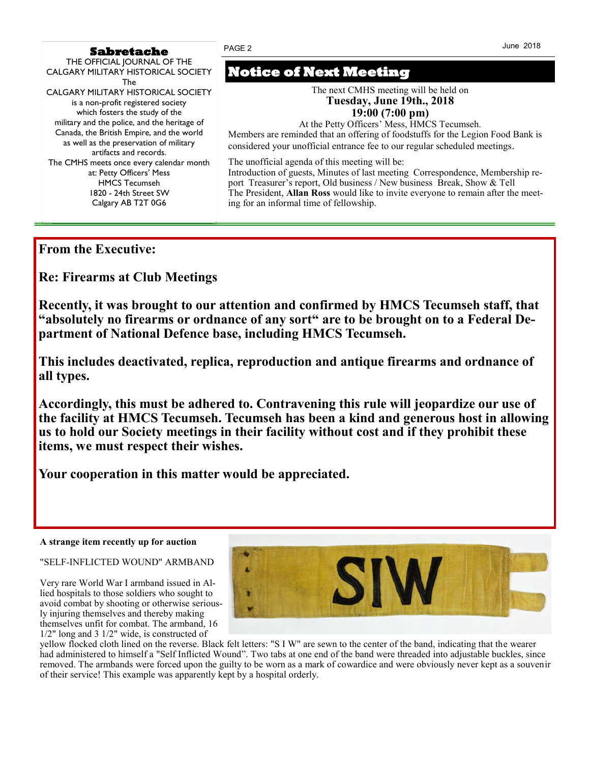#### **Sabretache**

THE OFFICIAL JOURNAL OF THE CALGARY MILITARY HISTORICAL SOCIETY The CALGARY MILITARY HISTORICAL SOCIETY is a non-profit registered society which fosters the study of the military and the police, and the heritage of Canada, the British Empire, and the world as well as the preservation of military artifacts and records. The CMHS meets once every calendar month at: Petty Officers' Mess HMCS Tecumseh 1820 - 24th Street SW Calgary AB T2T 0G6

# **Notice of Next Meeting**

PAGE 2

The next CMHS meeting will be held on **Tuesday, June 19th., 2018 19:00 (7:00 pm)**

At the Petty Officers' Mess, HMCS Tecumseh.

Members are reminded that an offering of foodstuffs for the Legion Food Bank is considered your unofficial entrance fee to our regular scheduled meetings*.*

The unofficial agenda of this meeting will be: Introduction of guests, Minutes of last meeting Correspondence, Membership report Treasurer's report, Old business / New business Break, Show & Tell The President, **Allan Ross** would like to invite everyone to remain after the meeting for an informal time of fellowship.

## **From the Executive:**

**Re: Firearms at Club Meetings**

**Recently, it was brought to our attention and confirmed by HMCS Tecumseh staff, that "absolutely no firearms or ordnance of any sort" are to be brought on to a Federal Department of National Defence base, including HMCS Tecumseh.** 

**This includes deactivated, replica, reproduction and antique firearms and ordnance of all types.** 

**Accordingly, this must be adhered to. Contravening this rule will jeopardize our use of the facility at HMCS Tecumseh. Tecumseh has been a kind and generous host in allowing us to hold our Society meetings in their facility without cost and if they prohibit these items, we must respect their wishes.**

**Your cooperation in this matter would be appreciated.**

#### **A strange item recently up for auction**

"SELF-INFLICTED WOUND" ARMBAND

Very rare World War I armband issued in Allied hospitals to those soldiers who sought to avoid combat by shooting or otherwise seriously injuring themselves and thereby making themselves unfit for combat. The armband, 16 1/2" long and 3 1/2" wide, is constructed of



yellow flocked cloth lined on the reverse. Black felt letters: "S I W" are sewn to the center of the band, indicating that the wearer had administered to himself a "Self Inflicted Wound". Two tabs at one end of the band were threaded into adjustable buckles, since removed. The armbands were forced upon the guilty to be worn as a mark of cowardice and were obviously never kept as a souvenir of their service! This example was apparently kept by a hospital orderly.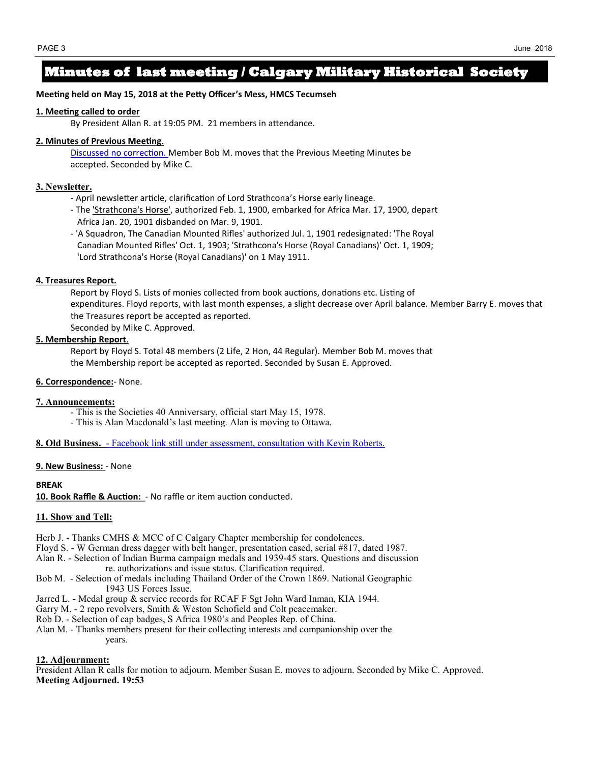## **Minutes of last meeting / Calgary Military Historical Society**

#### **Meeting held on May 15, 2018 at the Petty Officer's Mess, HMCS Tecumseh**

#### **1. Meeting called to order**

By President Allan R. at 19:05 PM. 21 members in attendance.

#### **2. Minutes of Previous Meeting**.

Discussed no correction. Member Bob M. moves that the Previous Meeting Minutes be accepted. Seconded by Mike C.

#### **3. Newsletter.**

- April newsletter article, clarification of Lord Strathcona's Horse early lineage.
- The 'Strathcona's Horse', authorized Feb. 1, 1900, embarked for Africa Mar. 17, 1900, depart Africa Jan. 20, 1901 disbanded on Mar. 9, 1901.
- 'A Squadron, The Canadian Mounted Rifles' authorized Jul. 1, 1901 redesignated: 'The Royal Canadian Mounted Rifles' Oct. 1, 1903; 'Strathcona's Horse (Royal Canadians)' Oct. 1, 1909; 'Lord Strathcona's Horse (Royal Canadians)' on 1 May 1911.

#### **4. Treasures Report***.*

Report by Floyd S. Lists of monies collected from book auctions, donations etc. Listing of expenditures. Floyd reports, with last month expenses, a slight decrease over April balance. Member Barry E. moves that the Treasures report be accepted as reported. Seconded by Mike C. Approved.

#### **5. Membership Report**.

Report by Floyd S. Total 48 members (2 Life, 2 Hon, 44 Regular). Member Bob M. moves that the Membership report be accepted as reported. Seconded by Susan E. Approved.

#### **6. Correspondence:**- None.

#### **7. Announcements:**

- This is the Societies 40 Anniversary, official start May 15, 1978.
- This is Alan Macdonald's last meeting. Alan is moving to Ottawa.

**8. Old Business.** - Facebook link still under assessment, consultation with Kevin Roberts.

#### **9. New Business:** - None

#### **BREAK**

**10. Book Raffle & Auction:** - No raffle or item auction conducted.

#### **11. Show and Tell:**

Herb J. - Thanks CMHS & MCC of C Calgary Chapter membership for condolences.

- Floyd S. W German dress dagger with belt hanger, presentation cased, serial #817, dated 1987.
- Alan R. Selection of Indian Burma campaign medals and 1939-45 stars. Questions and discussion re. authorizations and issue status. Clarification required.
- Bob M. Selection of medals including Thailand Order of the Crown 1869. National Geographic 1943 US Forces Issue.
- Jarred L. Medal group & service records for RCAF F Sgt John Ward Inman, KIA 1944.
- Garry M. 2 repo revolvers, Smith & Weston Schofield and Colt peacemaker.
- Rob D. Selection of cap badges, S Africa 1980's and Peoples Rep. of China.
- Alan M. Thanks members present for their collecting interests and companionship over the years.

#### **12. Adjournment:**

President Allan R calls for motion to adjourn. Member Susan E. moves to adjourn. Seconded by Mike C. Approved. **Meeting Adjourned. 19:53**